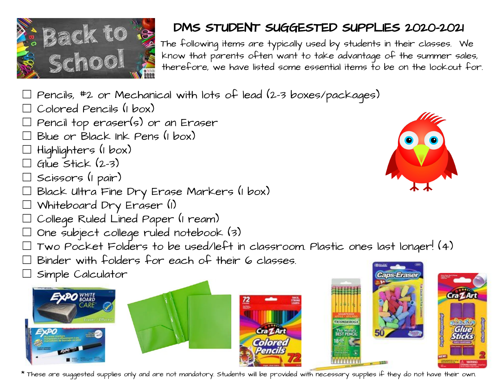

## $\frac{1}{2}$  Back to  $\frac{1}{2}$  The following items are typically used by students in their closes with

The following items are typically used by students in their classes. We<br>SC COOL therefore, we have listed some essential items to be on the lookout fo know that parents often want to take advantage of the summer sales, therefore, we have listed some essential items to be on the lookout for.

- $\Box$  Pencils, #2 or Mechanical with lots of lead (2-3 boxes/packages)
- ☐ Colored Pencils (1 box)
- Pencil top eraser(s) or an Eraser
- Blue or Black Ink Pens (1 box)
- ☐ Highlighters (1 box)
- $G$ lue Stick  $(2-3)$
- ☐ Scissors (1 pair)
- ☐ Black Ultra Fine Dry Erase Markers (1 box)
- ☐ Whiteboard Dry Eraser (1)
- College Ruled Lined Paper (1 ream)
- ☐ One subject college ruled notebook (3)
- ☐ Two Pocket Folders to be used/left in classroom. Plastic ones last longer! (4)
- ☐ Binder with folders for each of their 6 classes.
- ☐ Simple Calculator